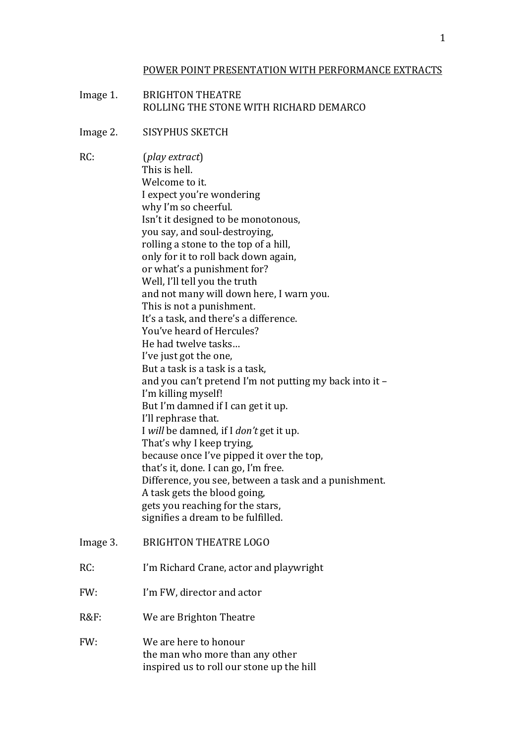## POWER POINT PRESENTATION WITH PERFORMANCE EXTRACTS

**BRIGHTON THEATRE** Image 1. ROLLING THE STONE WITH RICHARD DEMARCO

### Image 2. SISYPHUS SKETCH

 $RC<sup>2</sup>$ (play extract) This is hell. Welcome to it I expect you're wondering why I'm so cheerful. Isn't it designed to be monotonous, you say, and soul-destroving. rolling a stone to the top of a hill, only for it to roll back down again, or what's a punishment for? Well, I'll tell you the truth and not many will down here, I warn you. This is not a punishment. It's a task, and there's a difference. You've heard of Hercules? He had twelve tasks... I've just got the one. But a task is a task is a task, and you can't pretend I'm not putting my back into it -I'm killing myself! But I'm damned if I can get it up. I'll rephrase that. I will be damned, if I don't get it up. That's why I keep trying. because once I've pipped it over the top, that's it, done. I can go, I'm free. Difference, you see, between a task and a punishment. A task gets the blood going. gets you reaching for the stars, signifies a dream to be fulfilled. **BRIGHTON THEATRE LOGO** Image 3.  $RC:$ I'm Richard Crane, actor and playwright  $FW:$ I'm FW, director and actor  $R\&F$ : We are Brighton Theatre FW: We are here to honour

> the man who more than any other inspired us to roll our stone up the hill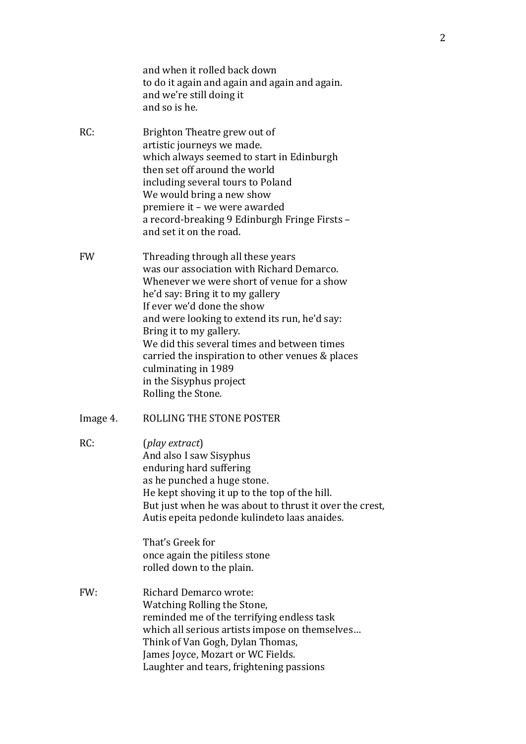|           | and when it rolled back down<br>to do it again and again and again and again.<br>and we're still doing it<br>and so is he.                                                                                                                                                                                                                                                                                                                            |
|-----------|-------------------------------------------------------------------------------------------------------------------------------------------------------------------------------------------------------------------------------------------------------------------------------------------------------------------------------------------------------------------------------------------------------------------------------------------------------|
| RC:       | Brighton Theatre grew out of<br>artistic journeys we made.<br>which always seemed to start in Edinburgh<br>then set off around the world<br>including several tours to Poland<br>We would bring a new show<br>premiere it - we were awarded<br>a record-breaking 9 Edinburgh Fringe Firsts -<br>and set it on the road.                                                                                                                               |
| <b>FW</b> | Threading through all these years<br>was our association with Richard Demarco.<br>Whenever we were short of venue for a show<br>he'd say: Bring it to my gallery<br>If ever we'd done the show<br>and were looking to extend its run, he'd say:<br>Bring it to my gallery.<br>We did this several times and between times<br>carried the inspiration to other venues & places<br>culminating in 1989<br>in the Sisyphus project<br>Rolling the Stone. |
| Image 4.  | ROLLING THE STONE POSTER                                                                                                                                                                                                                                                                                                                                                                                                                              |
| RC:       | (play extract)<br>And also I saw Sisyphus<br>enduring hard suffering<br>as he punched a huge stone.<br>He kept shoving it up to the top of the hill.<br>But just when he was about to thrust it over the crest,<br>Autis epeita pedonde kulindeto laas anaides.                                                                                                                                                                                       |
|           | That's Greek for<br>once again the pitiless stone<br>rolled down to the plain.                                                                                                                                                                                                                                                                                                                                                                        |
| FW:       | <b>Richard Demarco wrote:</b><br>Watching Rolling the Stone,<br>reminded me of the terrifying endless task<br>which all serious artists impose on themselves<br>Think of Van Gogh, Dylan Thomas,<br>James Joyce, Mozart or WC Fields.<br>Laughter and tears, frightening passions                                                                                                                                                                     |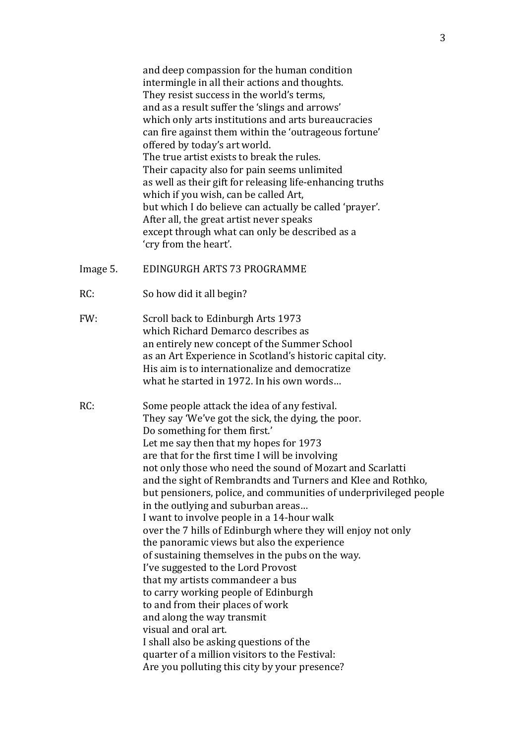and deep compassion for the human condition intermingle in all their actions and thoughts. They resist success in the world's terms, and as a result suffer the 'slings and arrows' which only arts institutions and arts bureaucracies can fire against them within the 'outrageous fortune' offered by today's art world. The true artist exists to break the rules. Their capacity also for pain seems unlimited as well as their gift for releasing life-enhancing truths which if you wish, can be called Art, but which I do believe can actually be called 'prayer'. After all, the great artist never speaks except through what can only be described as a 'cry from the heart'.

- EDINGURGH ARTS 73 PROGRAMME Image 5.
- $RC:$ So how did it all begin?
- $FW·$ Scroll back to Edinburgh Arts 1973 which Richard Demarco describes as an entirely new concept of the Summer School as an Art Experience in Scotland's historic capital city. His aim is to internationalize and democratize what he started in 1972. In his own words...
- $RC:$ Some people attack the idea of any festival. They say 'We've got the sick, the dying, the poor. Do something for them first.' Let me say then that my hopes for 1973 are that for the first time I will be involving not only those who need the sound of Mozart and Scarlatti and the sight of Rembrandts and Turners and Klee and Rothko. but pensioners, police, and communities of underprivileged people in the outlying and suburban areas... I want to involve people in a 14-hour walk over the 7 hills of Edinburgh where they will enjoy not only the panoramic views but also the experience of sustaining themselves in the pubs on the way. I've suggested to the Lord Provost that my artists commandeer a bus to carry working people of Edinburgh to and from their places of work and along the way transmit visual and oral art. I shall also be asking questions of the quarter of a million visitors to the Festival: Are you polluting this city by your presence?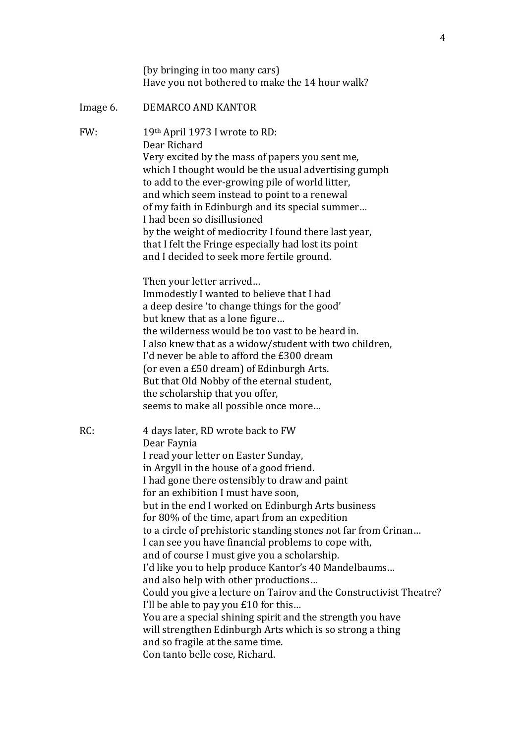|          | (by bringing in too many cars)<br>Have you not bothered to make the 14 hour walk?                                                                                                                                                                                                                                                                                                                                                                                                                                                                                                                                                                                                                                                                                                                                                                                                                                           |
|----------|-----------------------------------------------------------------------------------------------------------------------------------------------------------------------------------------------------------------------------------------------------------------------------------------------------------------------------------------------------------------------------------------------------------------------------------------------------------------------------------------------------------------------------------------------------------------------------------------------------------------------------------------------------------------------------------------------------------------------------------------------------------------------------------------------------------------------------------------------------------------------------------------------------------------------------|
| Image 6. | DEMARCO AND KANTOR                                                                                                                                                                                                                                                                                                                                                                                                                                                                                                                                                                                                                                                                                                                                                                                                                                                                                                          |
| FW:      | 19th April 1973 I wrote to RD:<br>Dear Richard<br>Very excited by the mass of papers you sent me,<br>which I thought would be the usual advertising gumph<br>to add to the ever-growing pile of world litter,<br>and which seem instead to point to a renewal<br>of my faith in Edinburgh and its special summer<br>I had been so disillusioned<br>by the weight of mediocrity I found there last year,<br>that I felt the Fringe especially had lost its point<br>and I decided to seek more fertile ground.                                                                                                                                                                                                                                                                                                                                                                                                               |
|          | Then your letter arrived<br>Immodestly I wanted to believe that I had<br>a deep desire 'to change things for the good'<br>but knew that as a lone figure<br>the wilderness would be too vast to be heard in.<br>I also knew that as a widow/student with two children,<br>I'd never be able to afford the £300 dream<br>(or even a £50 dream) of Edinburgh Arts.<br>But that Old Nobby of the eternal student,<br>the scholarship that you offer,<br>seems to make all possible once more                                                                                                                                                                                                                                                                                                                                                                                                                                   |
| RC:      | 4 days later, RD wrote back to FW<br>Dear Faynia<br>I read your letter on Easter Sunday,<br>in Argyll in the house of a good friend.<br>I had gone there ostensibly to draw and paint<br>for an exhibition I must have soon,<br>but in the end I worked on Edinburgh Arts business<br>for 80% of the time, apart from an expedition<br>to a circle of prehistoric standing stones not far from Crinan<br>I can see you have financial problems to cope with,<br>and of course I must give you a scholarship.<br>I'd like you to help produce Kantor's 40 Mandelbaums<br>and also help with other productions<br>Could you give a lecture on Tairov and the Constructivist Theatre?<br>I'll be able to pay you £10 for this<br>You are a special shining spirit and the strength you have<br>will strengthen Edinburgh Arts which is so strong a thing<br>and so fragile at the same time.<br>Con tanto belle cose, Richard. |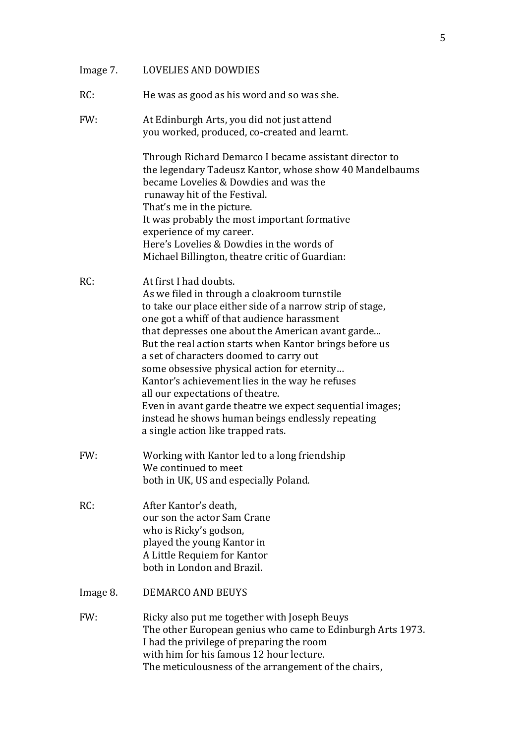| Image 7. | <b>LOVELIES AND DOWDIES</b>                                                                                                                                                                                                                                                                                                                                                                                                                                                                                                                                                                                                                |
|----------|--------------------------------------------------------------------------------------------------------------------------------------------------------------------------------------------------------------------------------------------------------------------------------------------------------------------------------------------------------------------------------------------------------------------------------------------------------------------------------------------------------------------------------------------------------------------------------------------------------------------------------------------|
| RC:      | He was as good as his word and so was she.                                                                                                                                                                                                                                                                                                                                                                                                                                                                                                                                                                                                 |
| FW:      | At Edinburgh Arts, you did not just attend<br>you worked, produced, co-created and learnt.                                                                                                                                                                                                                                                                                                                                                                                                                                                                                                                                                 |
|          | Through Richard Demarco I became assistant director to<br>the legendary Tadeusz Kantor, whose show 40 Mandelbaums<br>became Lovelies & Dowdies and was the<br>runaway hit of the Festival.<br>That's me in the picture.<br>It was probably the most important formative<br>experience of my career.<br>Here's Lovelies & Dowdies in the words of<br>Michael Billington, theatre critic of Guardian:                                                                                                                                                                                                                                        |
| RC:      | At first I had doubts.<br>As we filed in through a cloakroom turnstile<br>to take our place either side of a narrow strip of stage,<br>one got a whiff of that audience harassment<br>that depresses one about the American avant garde<br>But the real action starts when Kantor brings before us<br>a set of characters doomed to carry out<br>some obsessive physical action for eternity<br>Kantor's achievement lies in the way he refuses<br>all our expectations of theatre.<br>Even in avant garde theatre we expect sequential images;<br>instead he shows human beings endlessly repeating<br>a single action like trapped rats. |
| FW:      | Working with Kantor led to a long friendship<br>We continued to meet<br>both in UK, US and especially Poland.                                                                                                                                                                                                                                                                                                                                                                                                                                                                                                                              |
| RC:      | After Kantor's death,<br>our son the actor Sam Crane<br>who is Ricky's godson,<br>played the young Kantor in<br>A Little Requiem for Kantor<br>both in London and Brazil.                                                                                                                                                                                                                                                                                                                                                                                                                                                                  |
| Image 8. | <b>DEMARCO AND BEUYS</b>                                                                                                                                                                                                                                                                                                                                                                                                                                                                                                                                                                                                                   |
| FW:      | Ricky also put me together with Joseph Beuys<br>The other European genius who came to Edinburgh Arts 1973.<br>I had the privilege of preparing the room<br>with him for his famous 12 hour lecture.<br>The meticulousness of the arrangement of the chairs,                                                                                                                                                                                                                                                                                                                                                                                |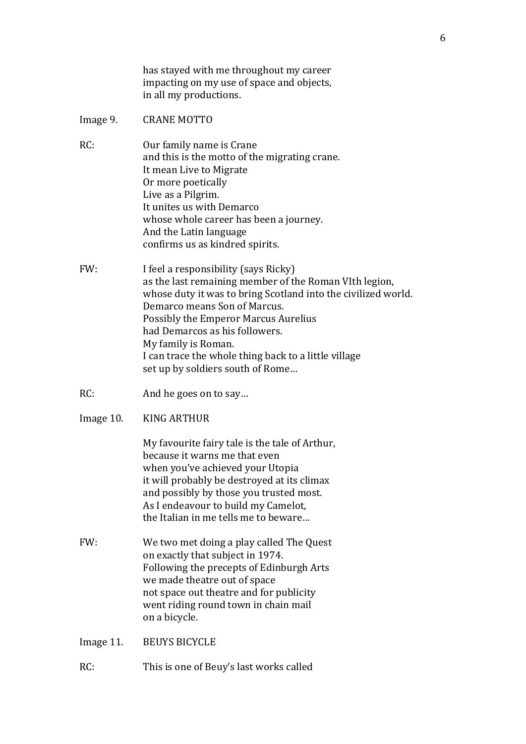has stayed with me throughout my career impacting on my use of space and objects, in all my productions.

- Image 9. **CRANE MOTTO**
- $RC:$ Our family name is Crane and this is the motto of the migrating crane. It mean Live to Migrate Or more poetically Live as a Pilgrim. It unites us with Demarco whose whole career has been a journey. And the Latin language confirms us as kindred spirits.
- FW: I feel a responsibility (says Ricky) as the last remaining member of the Roman VIth legion, whose duty it was to bring Scotland into the civilized world. Demarco means Son of Marcus. Possibly the Emperor Marcus Aurelius had Demarcos as his followers. My family is Roman. I can trace the whole thing back to a little village set up by soldiers south of Rome...
- $RC:$ And he goes on to say...
- **KING ARTHUR** Image 10.

My favourite fairy tale is the tale of Arthur. because it warns me that even when you've achieved your Utopia it will probably be destroved at its climax and possibly by those you trusted most. As I endeavour to build my Camelot, the Italian in me tells me to beware...

FW: We two met doing a play called The Quest on exactly that subject in 1974. Following the precepts of Edinburgh Arts we made theatre out of space not space out theatre and for publicity went riding round town in chain mail on a bicycle.

Image 11. **BEUYS BICYCLE** 

 $RC:$ This is one of Beuy's last works called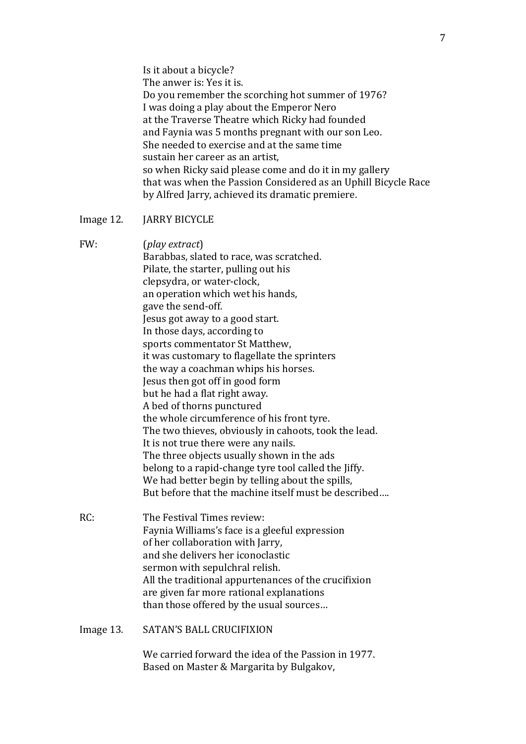Is it about a bicycle? The anwer is: Yes it is. Do you remember the scorching hot summer of 1976? I was doing a play about the Emperor Nero! at the Traverse Theatre which Ricky had founded and Faynia was 5 months pregnant with our son Leo. She needed to exercise and at the same time sustain her career as an artist, so when Ricky said please come and do it in my gallery that was when the Passion Considered as an Uphill Bicycle Race by Alfred Jarry, achieved its dramatic premiere.

Image 12. **JARRY BICYCLE** 

FW: (*play extract*) Barabbas, slated to race, was scratched. Pilate, the starter, pulling out his clepsydra, or water-clock, an operation which wet his hands, gave the send-off. Jesus got away to a good start. In those days, according to sports commentator St Matthew, it was customary to flagellate the sprinters the way a coachman whips his horses. Jesus then got off in good form but he had a flat right away. A bed of thorns punctured the whole circumference of his front tyre. The two thieves, obviously in cahoots, took the lead. It is not true there were any nails. The three objects usually shown in the ads belong to a rapid-change tyre tool called the Jiffy. We had better begin by telling about the spills, But before that the machine itself must be described…. RC: The Festival Times review:

- Faynia Williams's face is a gleeful expression of her collaboration with Jarry, and she delivers her iconoclastic sermon with sepulchral relish. All the traditional appurtenances of the crucifixion are given far more rational explanations than those offered by the usual sources...
- Image 13. SATAN'S BALL CRUCIFIXION

We carried forward the idea of the Passion in 1977. Based on Master & Margarita by Bulgakov,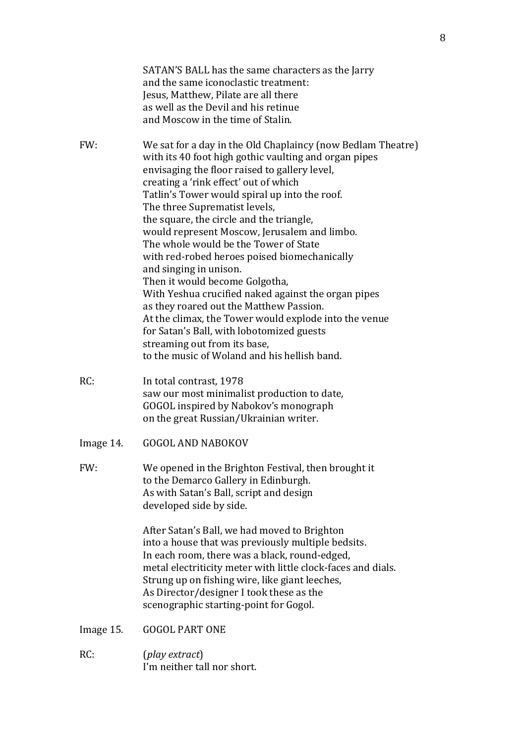|           | SATAN'S BALL has the same characters as the Jarry<br>and the same iconoclastic treatment:<br>Jesus, Matthew, Pilate are all there<br>as well as the Devil and his retinue<br>and Moscow in the time of Stalin.                                                                                                                                                                                                                                                                                                                                                                                                                                                                                                                                                                                                                            |
|-----------|-------------------------------------------------------------------------------------------------------------------------------------------------------------------------------------------------------------------------------------------------------------------------------------------------------------------------------------------------------------------------------------------------------------------------------------------------------------------------------------------------------------------------------------------------------------------------------------------------------------------------------------------------------------------------------------------------------------------------------------------------------------------------------------------------------------------------------------------|
| FW:       | We sat for a day in the Old Chaplaincy (now Bedlam Theatre)<br>with its 40 foot high gothic vaulting and organ pipes<br>envisaging the floor raised to gallery level,<br>creating a 'rink effect' out of which<br>Tatlin's Tower would spiral up into the roof.<br>The three Suprematist levels,<br>the square, the circle and the triangle,<br>would represent Moscow, Jerusalem and limbo.<br>The whole would be the Tower of State<br>with red-robed heroes poised biomechanically<br>and singing in unison.<br>Then it would become Golgotha,<br>With Yeshua crucified naked against the organ pipes<br>as they roared out the Matthew Passion.<br>At the climax, the Tower would explode into the venue<br>for Satan's Ball, with lobotomized guests<br>streaming out from its base,<br>to the music of Woland and his hellish band. |
| RC:       | In total contrast, 1978<br>saw our most minimalist production to date,<br>GOGOL inspired by Nabokov's monograph<br>on the great Russian/Ukrainian writer.                                                                                                                                                                                                                                                                                                                                                                                                                                                                                                                                                                                                                                                                                 |
| Image 14. | <b>GOGOL AND NABOKOV</b>                                                                                                                                                                                                                                                                                                                                                                                                                                                                                                                                                                                                                                                                                                                                                                                                                  |
| FW:       | We opened in the Brighton Festival, then brought it<br>to the Demarco Gallery in Edinburgh.<br>As with Satan's Ball, script and design<br>developed side by side.                                                                                                                                                                                                                                                                                                                                                                                                                                                                                                                                                                                                                                                                         |
|           | After Satan's Ball, we had moved to Brighton<br>into a house that was previously multiple bedsits.<br>In each room, there was a black, round-edged,<br>metal electriticity meter with little clock-faces and dials.<br>Strung up on fishing wire, like giant leeches,<br>As Director/designer I took these as the<br>scenographic starting-point for Gogol.                                                                                                                                                                                                                                                                                                                                                                                                                                                                               |
| Image 15. | <b>GOGOL PART ONE</b>                                                                                                                                                                                                                                                                                                                                                                                                                                                                                                                                                                                                                                                                                                                                                                                                                     |
| RC:       | (play extract)<br>I'm neither tall nor short.                                                                                                                                                                                                                                                                                                                                                                                                                                                                                                                                                                                                                                                                                                                                                                                             |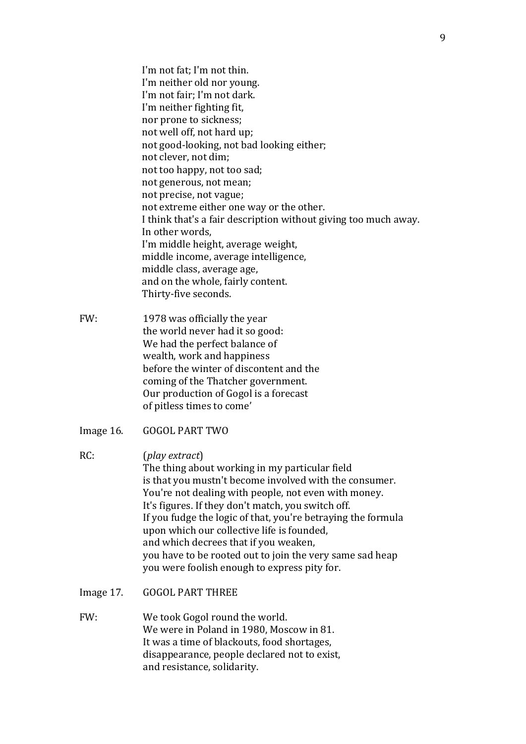I'm not fat; I'm not thin. I'm neither old nor young. I'm not fair; I'm not dark. I'm neither fighting fit, nor prone to sickness; not well off, not hard up; not good-looking, not bad looking either; not clever, not dim; not too happy, not too sad; not generous, not mean; not precise, not vague; not extreme either one way or the other. I think that's a fair description without giving too much away. In other words, I'm middle height, average weight, middle income, average intelligence, middle class, average age, and on the whole, fairly content. Thirty-five seconds.

- FW: 1978 was officially the year the world never had it so good: We had the perfect balance of wealth, work and happiness before the winter of discontent and the coming of the Thatcher government. Our production of Gogol is a forecast of pitless times to come'
- Image 16. GOGOL PART TWO
- RC: (*play extract*) The thing about working in my particular field is that you mustn't become involved with the consumer. You're not dealing with people, not even with money. It's figures. If they don't match, you switch off. If you fudge the logic of that, you're betraying the formula upon which our collective life is founded. and which decrees that if you weaken, you have to be rooted out to join the very same sad heap you were foolish enough to express pity for.
- Image 17. GOGOL PART THREE
- FW: We took Gogol round the world. We were in Poland in 1980, Moscow in 81. It was a time of blackouts, food shortages. disappearance, people declared not to exist, and resistance, solidarity.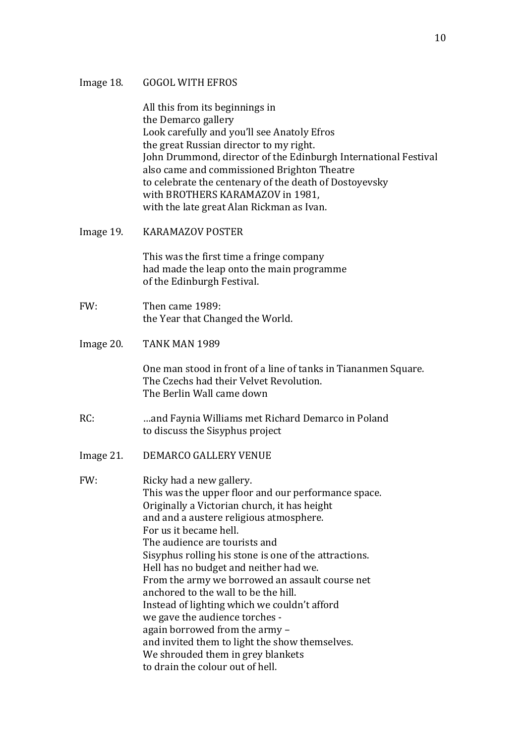#### **GOGOL WITH EFROS** Image 18.

All this from its beginnings in the Demarco gallery Look carefully and you'll see Anatoly Efros the great Russian director to my right. John Drummond, director of the Edinburgh International Festival also came and commissioned Brighton Theatre to celebrate the centenary of the death of Dostovevsky with BROTHERS KARAMAZOV in 1981. with the late great Alan Rickman as Ivan.

Image 19. **KARAMAZOV POSTER** 

> This was the first time a fringe company had made the leap onto the main programme of the Edinburgh Festival.

- FW: Then came 1989: the Year that Changed the World.
- TANK MAN 1989 Image 20.

One man stood in front of a line of tanks in Tiananmen Square. The Czechs had their Velvet Revolution. The Berlin Wall came down

- $RC:$ ... and Faynia Williams met Richard Demarco in Poland to discuss the Sisyphus project
- **DEMARCO GALLERY VENUE** Image 21.

 $FW-$ Ricky had a new gallery. This was the upper floor and our performance space. Originally a Victorian church, it has height and and a austere religious atmosphere. For us it became hell. The audience are tourists and Sisyphus rolling his stone is one of the attractions. Hell has no budget and neither had we. From the army we borrowed an assault course net anchored to the wall to be the hill. Instead of lighting which we couldn't afford we gave the audience torches again borrowed from the army and invited them to light the show themselves. We shrouded them in grey blankets to drain the colour out of hell.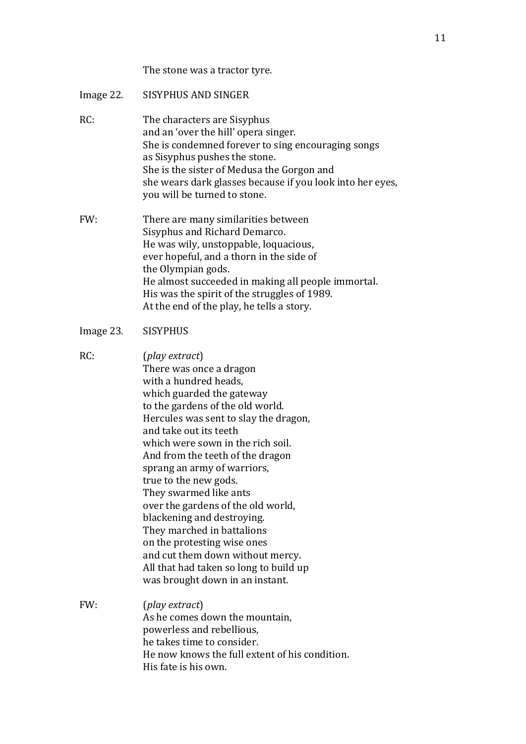# The stone was a tractor tyre.

| Image 22. | <b>SISYPHUS AND SINGER</b>                                                                                                                                                                                                                                                                                                                                                                                                                                                                                                                                                                                          |
|-----------|---------------------------------------------------------------------------------------------------------------------------------------------------------------------------------------------------------------------------------------------------------------------------------------------------------------------------------------------------------------------------------------------------------------------------------------------------------------------------------------------------------------------------------------------------------------------------------------------------------------------|
| RC:       | The characters are Sisyphus<br>and an 'over the hill' opera singer.<br>She is condemned forever to sing encouraging songs<br>as Sisyphus pushes the stone.<br>She is the sister of Medusa the Gorgon and<br>she wears dark glasses because if you look into her eyes,<br>you will be turned to stone.                                                                                                                                                                                                                                                                                                               |
| FW:       | There are many similarities between<br>Sisyphus and Richard Demarco.<br>He was wily, unstoppable, loquacious,<br>ever hopeful, and a thorn in the side of<br>the Olympian gods.<br>He almost succeeded in making all people immortal.<br>His was the spirit of the struggles of 1989.<br>At the end of the play, he tells a story.                                                                                                                                                                                                                                                                                  |
| Image 23. | <b>SISYPHUS</b>                                                                                                                                                                                                                                                                                                                                                                                                                                                                                                                                                                                                     |
| RC:       | (play extract)<br>There was once a dragon<br>with a hundred heads,<br>which guarded the gateway<br>to the gardens of the old world.<br>Hercules was sent to slay the dragon,<br>and take out its teeth<br>which were sown in the rich soil.<br>And from the teeth of the dragon<br>sprang an army of warriors,<br>true to the new gods.<br>They swarmed like ants<br>over the gardens of the old world,<br>blackening and destroying.<br>They marched in battalions<br>on the protesting wise ones<br>and cut them down without mercy.<br>All that had taken so long to build up<br>was brought down in an instant. |
| FW:       | (play extract)<br>As he comes down the mountain,<br>powerless and rebellious,<br>he takes time to consider.<br>He now knows the full extent of his condition.<br>His fate is his own.                                                                                                                                                                                                                                                                                                                                                                                                                               |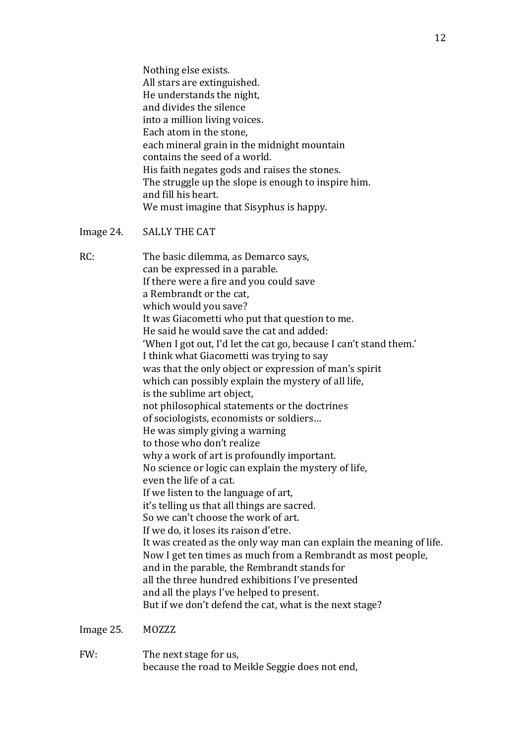Nothing else exists. All stars are extinguished. He understands the night, and divides the silence into a million living voices. Each atom in the stone, each mineral grain in the midnight mountain contains the seed of a world. His faith negates gods and raises the stones. The struggle up the slope is enough to inspire him. and fill his heart. We must imagine that Sisyphus is happy.

### Image 24. **SALLY THE CAT**

 $RC:$ 

| The basic dilemma, as Demarco says,                                 |
|---------------------------------------------------------------------|
| can be expressed in a parable.                                      |
| If there were a fire and you could save                             |
| a Rembrandt or the cat.                                             |
| which would you save?                                               |
| It was Giacometti who put that question to me.                      |
| He said he would save the cat and added:                            |
| 'When I got out, I'd let the cat go, because I can't stand them.'   |
| I think what Giacometti was trying to say                           |
| was that the only object or expression of man's spirit              |
| which can possibly explain the mystery of all life,                 |
| is the sublime art object,                                          |
| not philosophical statements or the doctrines                       |
| of sociologists, economists or soldiers                             |
| He was simply giving a warning                                      |
| to those who don't realize                                          |
| why a work of art is profoundly important.                          |
| No science or logic can explain the mystery of life,                |
| even the life of a cat.                                             |
| If we listen to the language of art,                                |
| it's telling us that all things are sacred.                         |
| So we can't choose the work of art.                                 |
| If we do, it loses its raison d'etre.                               |
| It was created as the only way man can explain the meaning of life. |
| Now I get ten times as much from a Rembrandt as most people,        |
| and in the parable, the Rembrandt stands for                        |
| all the three hundred exhibitions I've presented                    |
| and all the plays I've helped to present.                           |
| But if we don't defend the cat, what is the next stage?             |
|                                                                     |

Image 25. **MOZZZ** 

FW: The next stage for us, because the road to Meikle Seggie does not end,